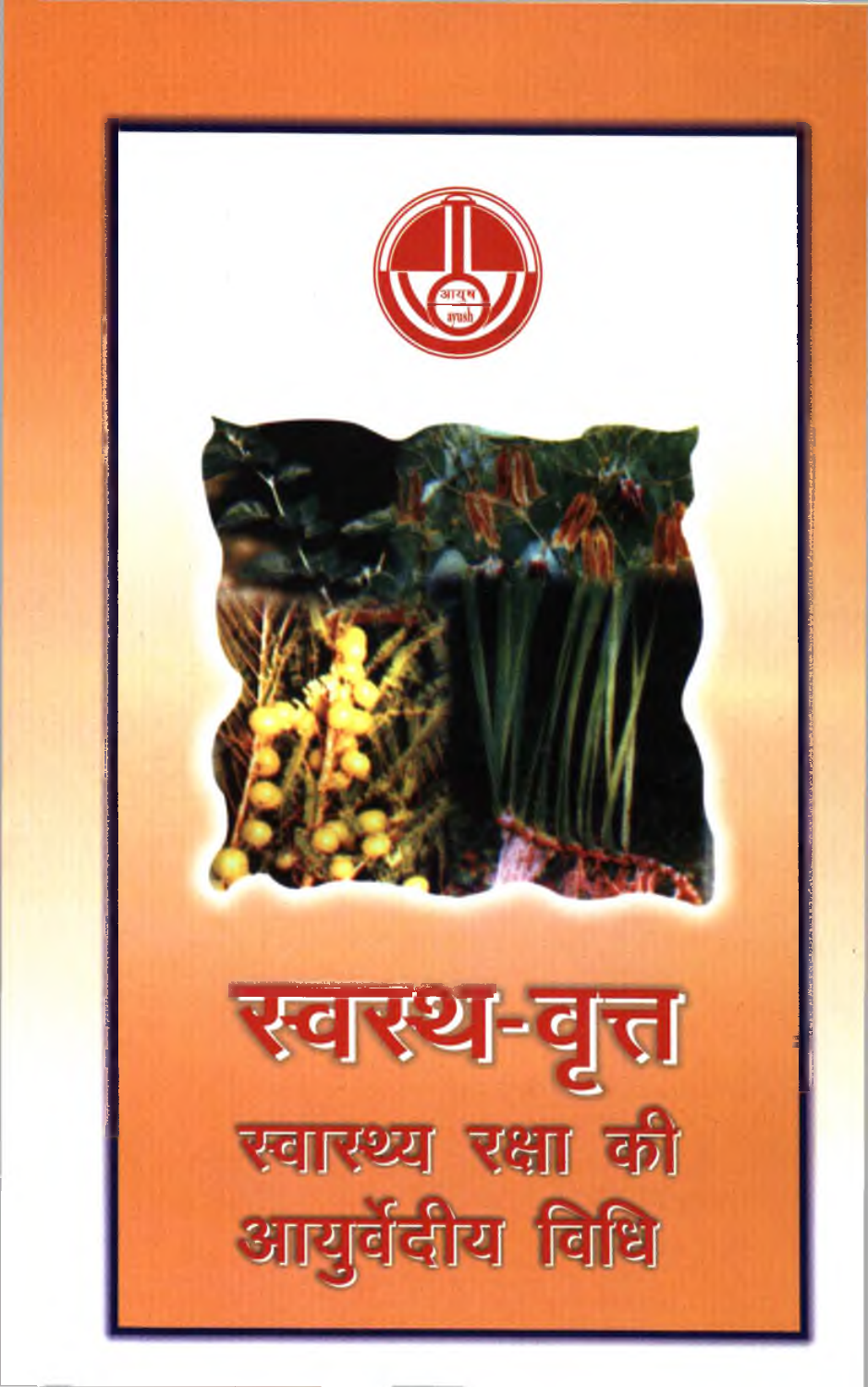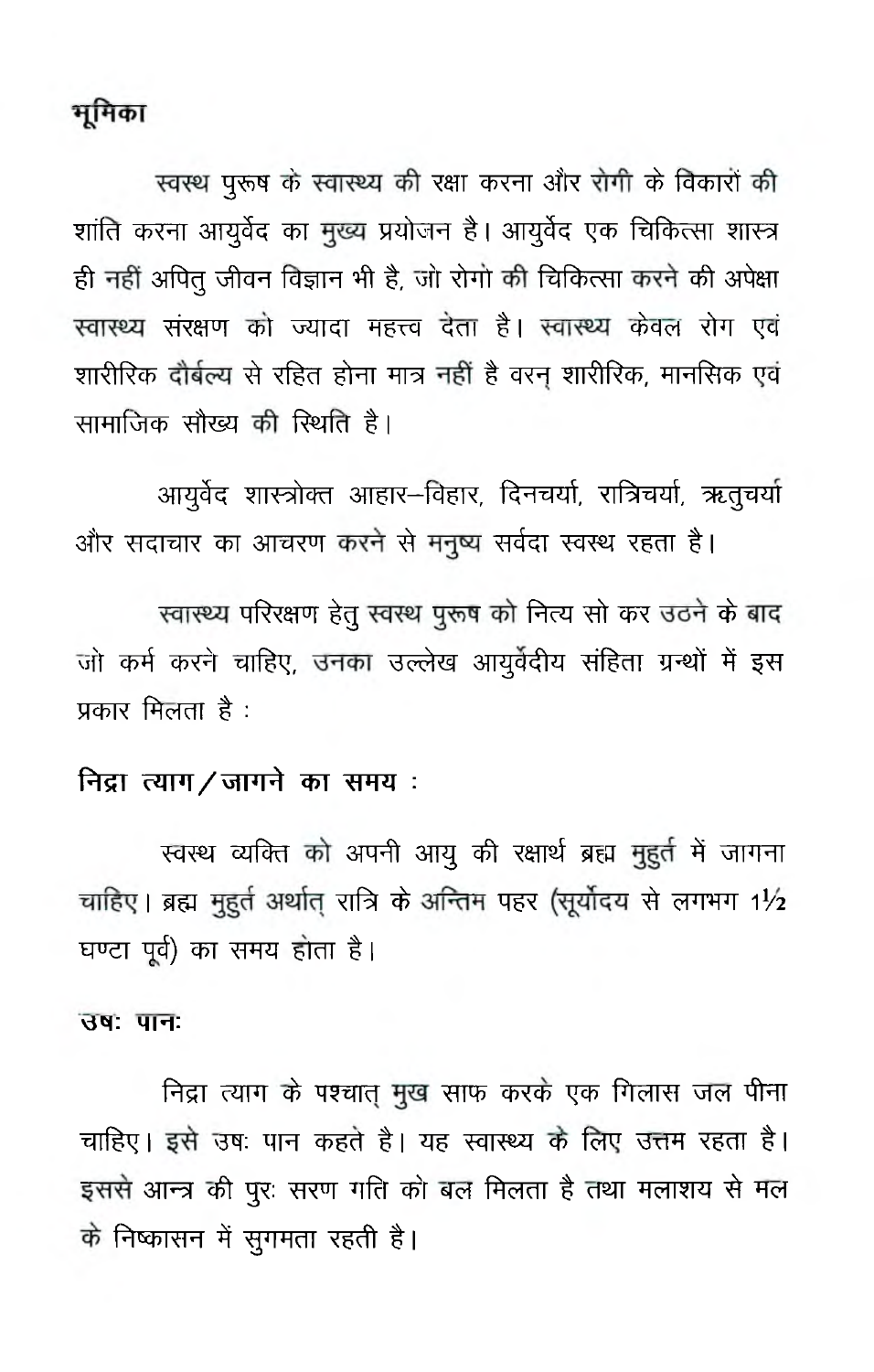# मूमिका

स्वस्थ पुरूष के स्वास्थ्य की रक्षा करना और रोगी के विकारों की शांति करना आयूर्वेद का मुख्य प्रयोजन है। आयूर्वेद एक चिकित्सा शास्त्र ही नहीं अपित् जीवन विज्ञान भी है, जो रोगो की चिकित्सा करने की अपेक्षा स्वास्थ्य संरक्षण को ज्यादा महत्त्व देता है। स्वास्थ्य केवल रोग एवं शारीरिक दौर्बल्य से रहित होना मात्र नहीं है वरन शारीरिक, मानसिक एवं सामाजिक सौख्य की रिथति है।

आयुर्वेद शास्त्रोक्त आहार-विहार, दिनचर्या, रात्रिचर्या, ऋतुचर्या और सदाचार का आचरण करने से मनुष्य सर्वदा स्वस्थ रहता है।

स्वास्थ्य परिरक्षण हेतु स्वस्थ पुरूष को नित्य सो कर उठने के बाद जो कर्म करने चाहिए, उनका उल्लेख आयुर्वेदीय संहिता ग्रन्थों में इस प्रकार मिलता है :

### निद्रा त्याग/जागने का समय:

स्वस्थ व्यक्ति को अपनी आयू की रक्षार्थ ब्रह्म मुहर्त में जागना चाहिए। ब्रह्म मुहुर्त अर्थात् रात्रि के अन्तिम पहर (सूर्योदय से लगभग 1½ घण्टा पूर्व) का समय होता है।

#### उषः पानः

निद्रा त्याग के पश्चात् मुख साफ करके एक गिलास जल पीना चाहिए। इसे उषः पान कहते है। यह स्वास्थ्य के लिए उत्तम रहता है। इससे आन्त्र की पूरः सरण गति को बल मिलता है तथा मलाशय से मल के निष्कासन में सुगमता रहती है।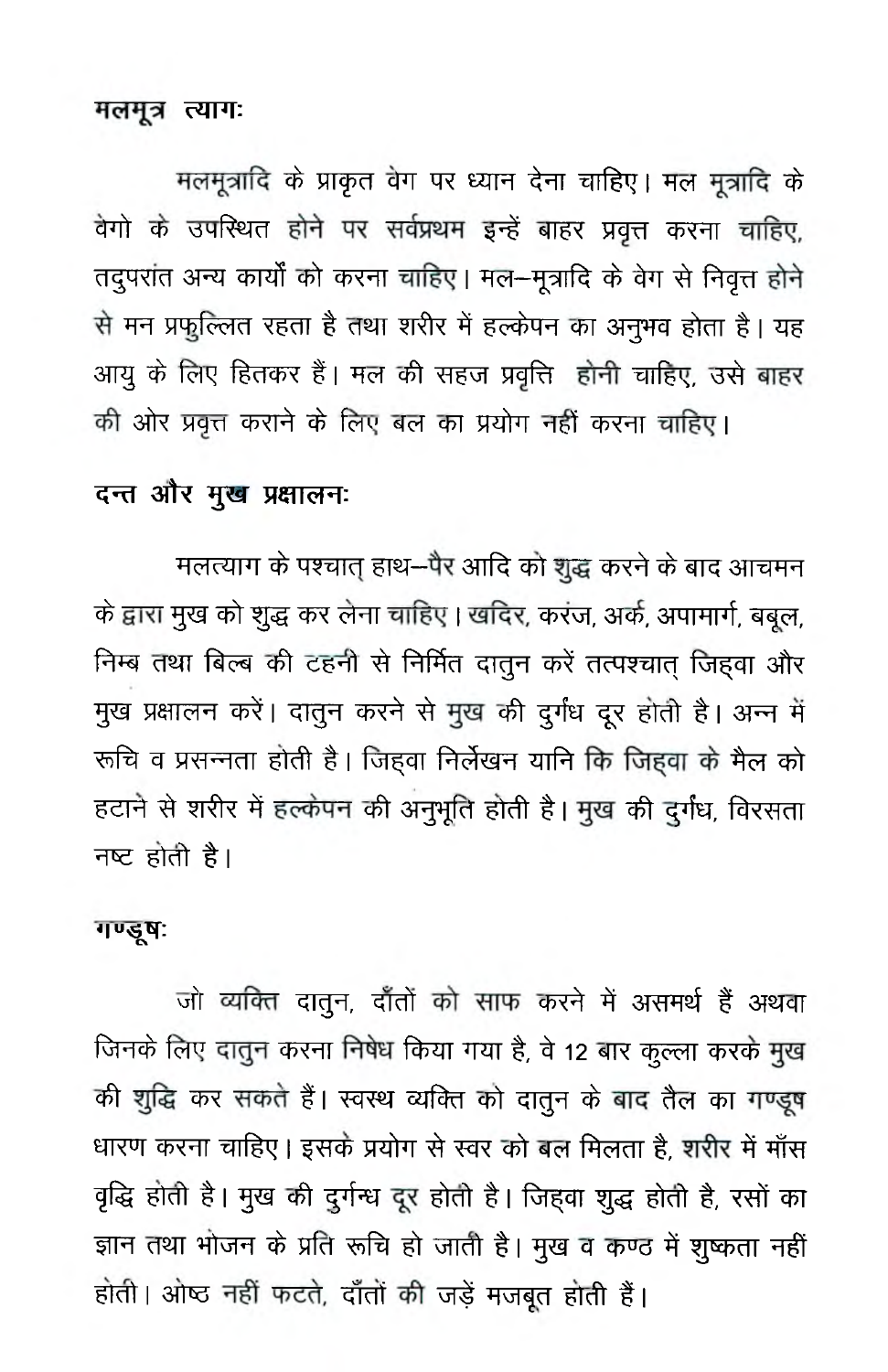#### मलमूत्र त्यागः

मलमूत्रादि के प्राकृत वेग पर ध्यान देना चाहिए। मल मुत्रादि के वेगो के उपस्थित होने पर सर्वप्रथम इन्हें बाहर प्रवृत्त करना चाहिए, तदुपरांत अन्य कार्यों को करना चाहिए। मल-मूत्रादि के वेग से निवृत्त होने से मन प्रफुल्लित रहता है तथा शरीर में हल्केपन का अनुभव होता है। यह आयु के लिए हितकर हैं। मल की सहज प्रवृत्ति होनी चाहिए, उसे बाहर की ओर प्रवृत्त कराने के लिए बल का प्रयोग नहीं करना चाहिए।

### दन्त और मुख प्रक्षालनः

मलत्याग के पश्चात् हाथ--पैर आदि को शुद्ध करने के बाद आचमन के द्वारा मुख को शुद्ध कर लेना चाहिए। खदिर, करंज, अर्क, अपामार्ग, बबुल, निम्ब तथा बिल्ब की टहनी से निर्मित दातुन करें तत्पश्चात् जिह्वा और मुख प्रक्षालन करें। दातुन करने से मुख की दुर्गंध दूर होती है। अन्न में रूचि व प्रसन्नता होती है। जिहवा निर्लेखन यानि कि जिहवा के मैल को हटाने से शरीर में हल्केपन की अनुभूति होती है। मुख की दुर्गंध, विरसता नष्ट होती है।

#### गण्डूष:

जो व्यक्ति दातुन, दाँतों को साफ करने में असमर्थ हैं अथवा जिनके लिए दातुन करना निषेध किया गया है, वे 12 बार कुल्ला करके मुख की शुद्धि कर सकते हैं। स्वस्थ व्यक्ति को दातुन के बाद तैल का गण्डूष धारण करना चाहिए। इसके प्रयोग से स्वर को बल मिलता है, शरीर में माँस वृद्धि होती है। मुख की दुर्गन्ध दूर होती है। जिहवा शुद्ध होती है, रसों का ज्ञान तथा भोजन के प्रति रूचि हो जाती है। मुख व कण्ठ में शुष्कता नहीं होती। ओष्ठ नहीं फटते, दाँतों की जड़ें मजबूत होती हैं।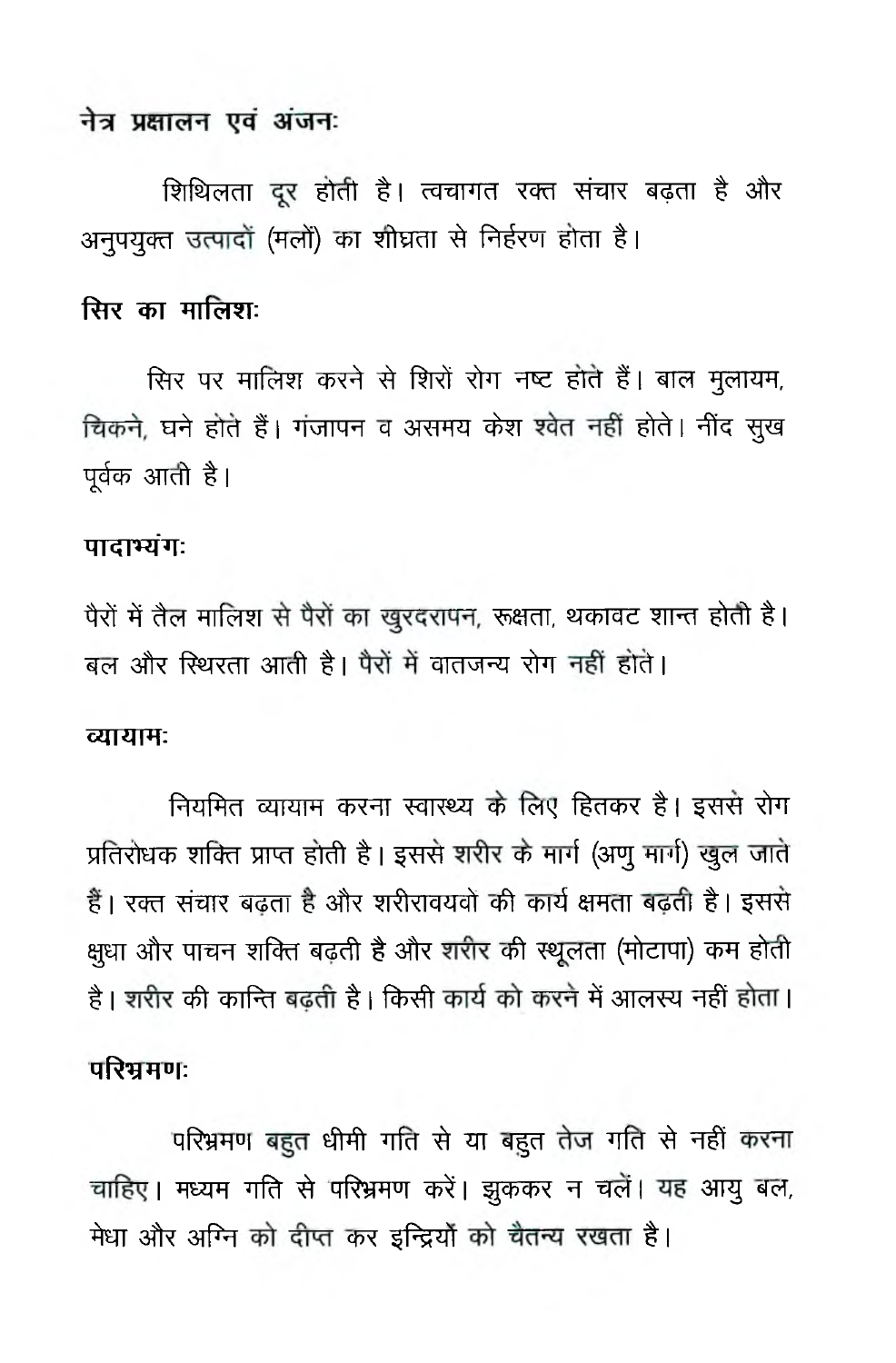### नेत्र प्रक्षालन एवं अंजनः

शिथिलता दूर होती है। त्वचागत रक्त संचार बढ़ता है और अनुपयुक्त उत्पादों (मलों) का शीघ्रता से निर्हरण होता है।

# सिर का मालिश:

सिर पर मालिश करने से शिरों रोग नष्ट होते हैं। बाल मुलायम, चिकने, घने होते हैं। गंजापन व असमय केश श्वेत नहीं होते। नींद सूख पूर्वक आती है।

#### पादाभ्यंग:

पैरों में तैल मालिश से पैरों का खुरदरापन, रूक्षता, थकावट शान्त होती है। बल और स्थिरता आती है। पैरों में वातजन्य रोग नहीं होते।

#### व्यायामः

नियमित व्यायाम करना स्वास्थ्य के लिए हितकर है। इससे रोग प्रतिरोधक शक्ति प्राप्त होती है। इससे शरीर के मार्ग (अणू मार्ग) खुल जाते हैं। रक्त संचार बढ़ता है और शरीरावयवों की कार्य क्षमता बढ़ती है। इससे क्षुधा और पाचन शक्ति बढती है और शरीर की स्थूलता (मोटापा) कम होती है। शरीर की कान्ति बढ़ती है। किसी कार्य को करने में आलस्य नहीं होता।

#### परिभ्रमण:

परिभ्रमण बहुत धीमी गति से या बहुत तेज गति से नहीं करना चाहिए। मध्यम गति से परिभ्रमण करें। झुककर न चलें। यह आयु बल, मेधा और अग्नि को दीप्त कर इन्द्रियों को चैतन्य रखता है।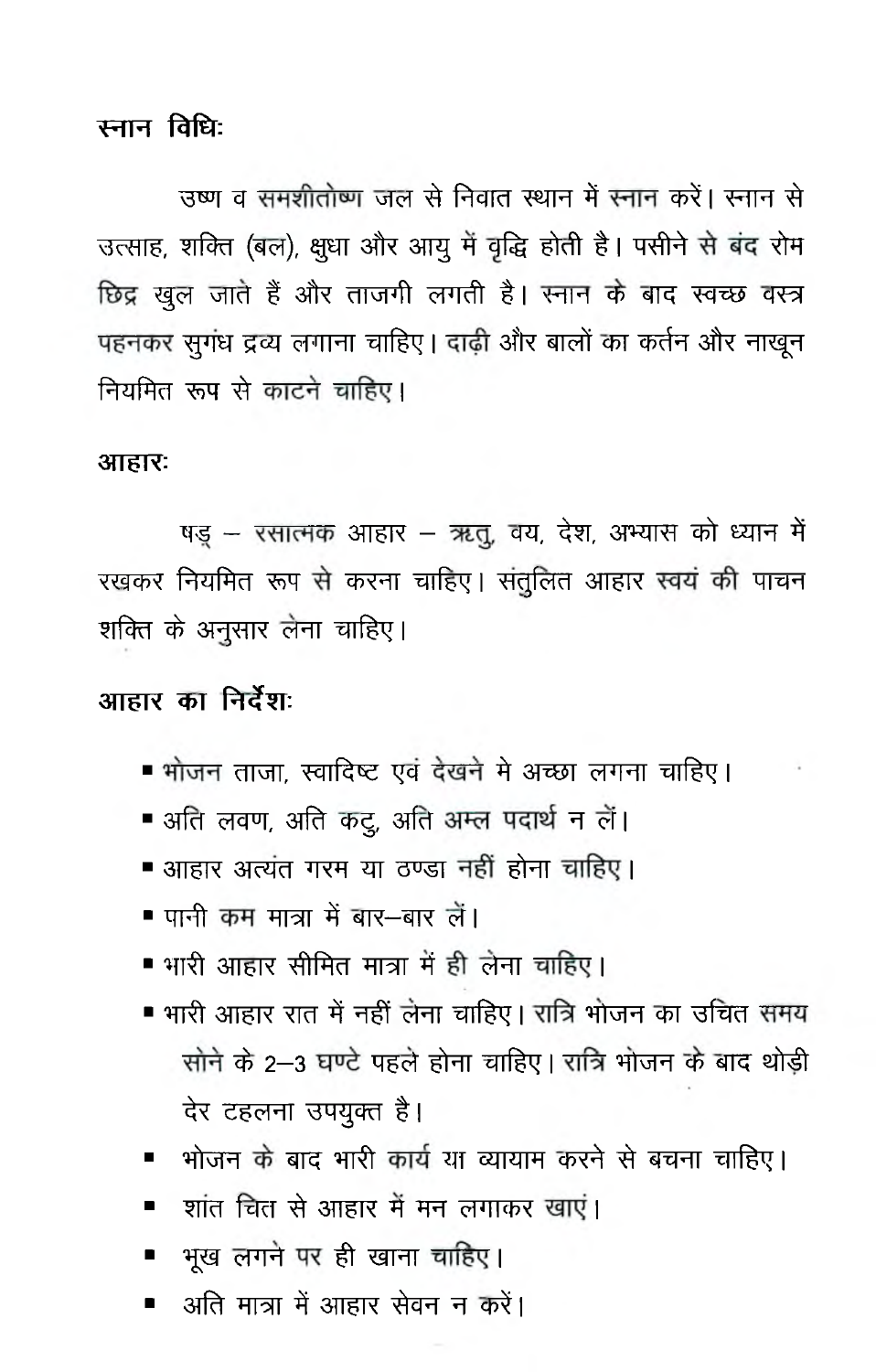स्नान विधिः

उष्ण व समशीतोष्ण जल से निवात स्थान में स्नान करें। स्नान से उत्साह, शक्ति (बल), क्षुधा और आयु में वृद्धि होती है। पसीने से बंद रोम छिद्र खुल जाते हैं और ताजगी लगती है। स्नान के बाद स्वच्छ वस्त्र पहनकर सुगंध द्रव्य लगाना चाहिए। दाढ़ी और बालों का कर्तन और नाखुन नियमित रूप से काटने चाहिए।

#### आहारः

षड़ - रसात्मक आहार - ऋतू, वय, देश, अभ्यास को ध्यान में रखकर नियमित रूप से करना चाहिए। संतुलित आहार स्वयं की पाचन शक्ति के अनुसार लेना चाहिए।

## आहार का निर्देश:

- भोजन ताजा, स्वादिष्ट एवं देखने मे अच्छा लगना चाहिए।
- अति लवण, अति कटू, अति अम्ल पदार्थ न लें।
- आहार अत्यंत गरम या ठण्डा नहीं होना चाहिए।
- पानी कम मात्रा में बार—बार लें।
- भारी आहार सीमित मात्रा में ही लेना चाहिए।
- भारी आहार रात में नहीं लेना चाहिए। रात्रि भोजन का उचित समय सोने के 2-3 घण्टे पहले होना चाहिए। रात्रि भोजन के बाद थोडी देर टहलना उपयुक्त है।
- भोजन के बाद भारी कार्य या व्यायाम करने से बचना चाहिए।
- शांत चित से आहार में मन लगाकर खाएं।
- भूख लगने पर ही खाना चाहिए।
- अति मात्रा में आहार सेवन न करें।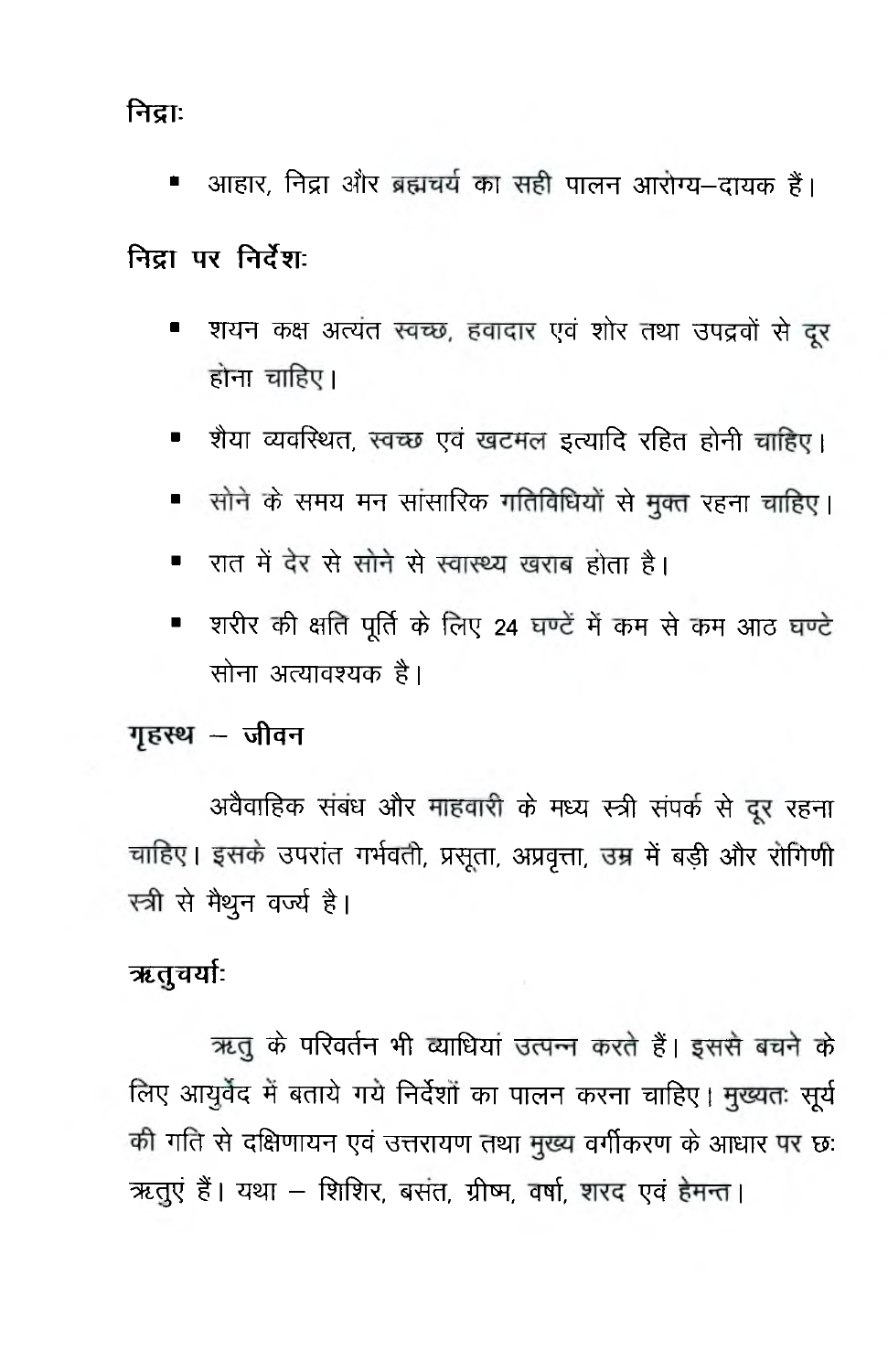निद्राः

आहार, निद्रा और ब्रह्मचर्य का सही पालन आरोग्य-दायक हैं। ٠

## निटा पर निर्देश:

- शयन कक्ष अत्यंत स्वच्छ, हवादार एवं शोर तथा उपद्रवों से दूर  $\blacksquare$ होना चाहिए।
- शैया व्यवस्थित, स्वच्छ एवं खटमल इत्यादि रहित होनी चाहिए।
- सोने के समय मन सांसारिक गतिविधियों से मुक्त रहना चाहिए।
- रात में देर से सोने से स्वास्थ्य खराब होता है।
- शरीर की क्षति पूर्ति के लिए 24 घण्टें में कम से कम आठ घण्टे  $\blacksquare$ सोना अत्यावश्यक है।

### गृहस्थ – जीवन

अवैवाहिक संबंध और माहवारी के मध्य स्त्री संपर्क से दूर रहना चाहिए। इसके उपरांत गर्भवती, प्रसूता, अप्रवृत्ता, उम्र में बड़ी और रोगिणी स्त्री से मैथुन वर्ज्य है।

## ऋतुचर्याः

ऋतु के परिवर्तन भी व्याधियां उत्पन्न करते हैं। इससे बचने के लिए आयुर्वेद में बताये गये निर्देशों का पालन करना चाहिए। मुख्यतः सूर्य की गति से दक्षिणायन एवं उत्तरायण तथा मुख्य वर्गीकरण के आधार पर छ: ऋतुएं हैं। यथा - शिशिर, बसंत, ग्रीष्म, वर्षा, शरद एवं हेमन्त।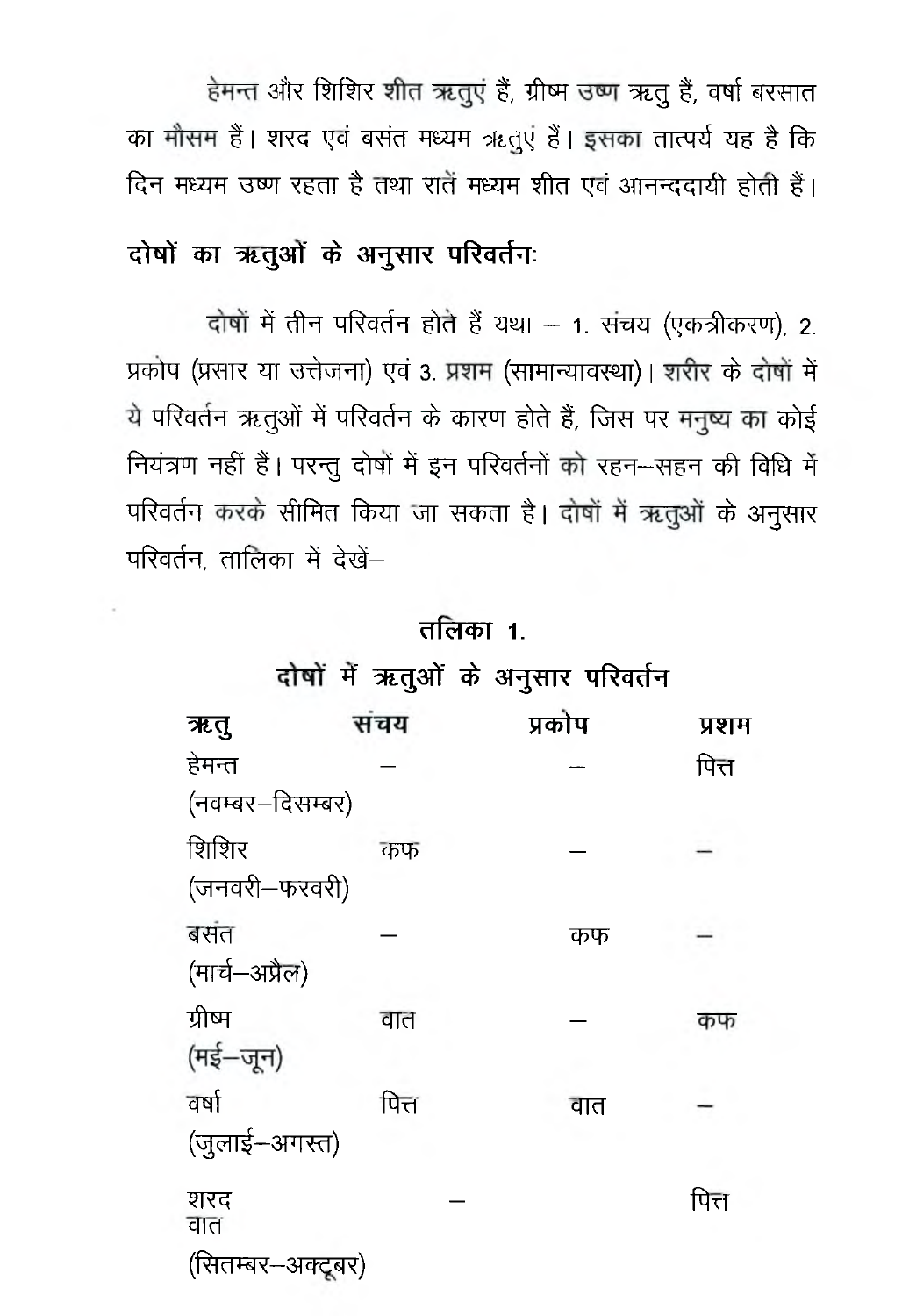हेमन्त और शिशिर शीत ऋतुएं हैं, ग्रीष्म उष्ण ऋतु हैं, वर्षा बरसात का मौसम हैं। शरद एवं बसंत मध्यम ऋतूएं हैं। इसका तात्पर्य यह है कि दिन मध्यम उष्ण रहता है तथा रातें मध्यम शीत एवं आनन्ददायी होती हैं।

# दोषों का ऋतुओं के अनुसार परिवर्तनः

दोषों में तीन परिवर्तन होते हैं यथा - 1. संचय (एकत्रीकरण), 2. प्रकोप (प्रसार या उत्तेजना) एवं 3. प्रशम (सामान्यावस्था)। शरीर के दोषों में ये परिवर्तन ऋतुओं में परिवर्तन के कारण होते हैं, जिस पर मनुष्य का कोई नियंत्रण नहीं हैं। परन्तु दोषों में इन परिवर्तनों को रहन-सहन की विधि में परिवर्तन करके सीमित किया जा सकता है। दोषों में ऋतुओं के अनुसार परिवर्तन, तालिका में देखें-

## तलिका 1.

## दोषों में ऋतुओं के अनुसार परिवर्तन

| ऋतु                    | संचय  | प्रकोप | प्रशम |
|------------------------|-------|--------|-------|
| हेमन्त                 |       |        | पित्त |
| (नवम्बर–दिसम्बर)       |       |        |       |
| शिशिर<br>(जनवरी–फरवरी) | कफ    |        |       |
| बसंत<br>(मार्च-अप्रैल) |       | कफ     |       |
| ग्रीष्म<br>(मई–जून)    | वात   |        | कफ    |
| वर्षा<br>(जुलाई–अगस्त) | पित्त | वात    |       |
| शरद<br>वात             |       |        | पित्त |
| (सितम्बर–अक्टूबर)      |       |        |       |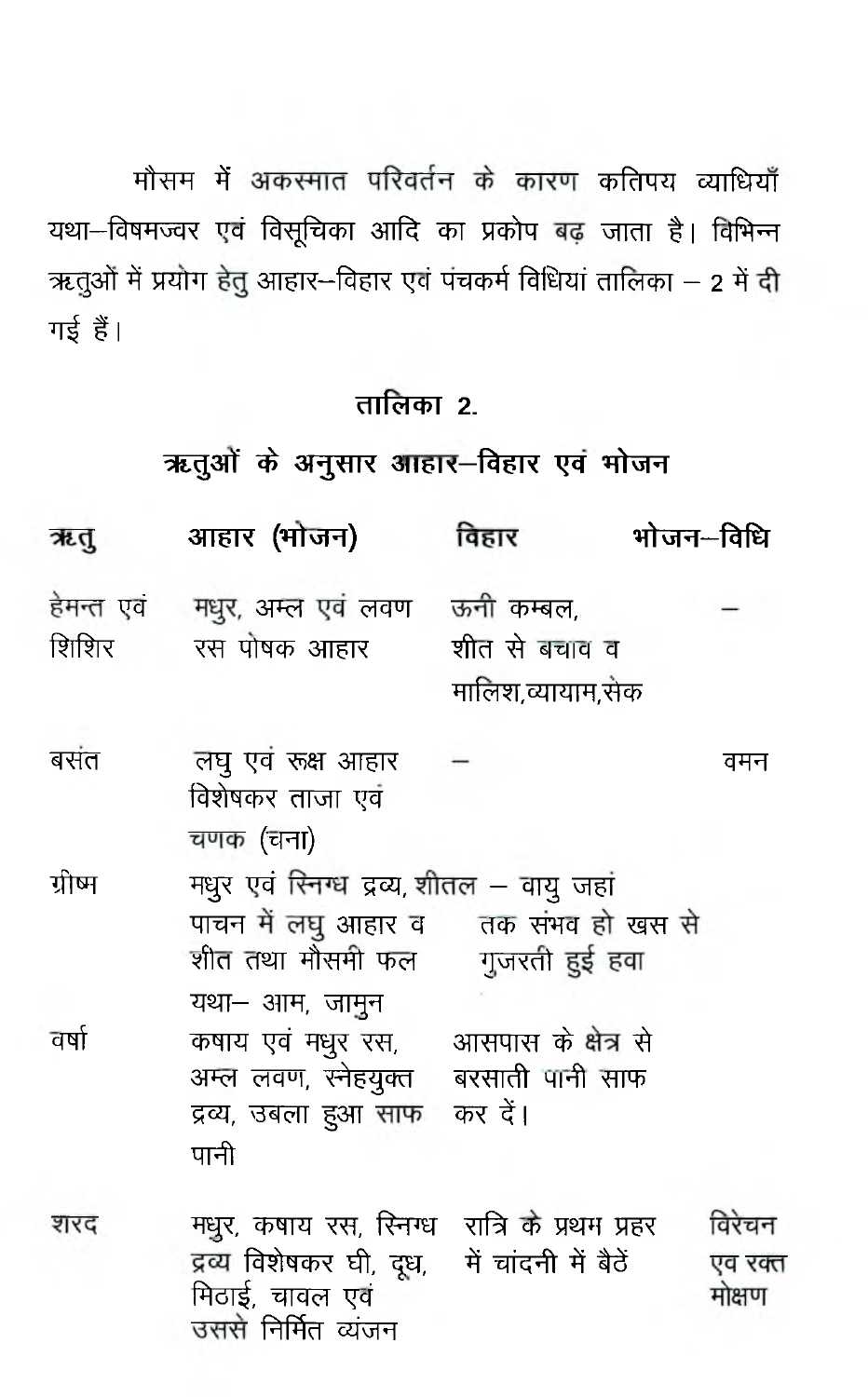मौसम में अकस्मात परिवर्तन के कारण कतिपय व्याधियाँ यथा-विषमज्वर एवं विसूचिका आदि का प्रकोप बढ़ जाता है। विभिन्न ऋतुओं में प्रयोग हेतु आहार-विहार एवं पंचकर्म विधियां तालिका – 2 में दी गई हैं।

# तालिका २.

# ऋतुओं के अनुसार आहार-विहार एवं भोजन

| ऋतु                 | आहार (भोजन)                                                                                                                             | विहार                                                  | भोजन–विधि                   |
|---------------------|-----------------------------------------------------------------------------------------------------------------------------------------|--------------------------------------------------------|-----------------------------|
| हेमन्त एवं<br>शिशिर | मधुर, अम्ल एवं लवण ऊनी कम्बल,<br>रस पोषक आहार                                                                                           | शीत से बचाव व<br>मालिश,व्यायाम,सेक                     |                             |
| बसंत                | लघु एवं रूक्ष आहार<br>विशेषकर ताजा एवं<br>चणक (चना)                                                                                     |                                                        | वमन                         |
| ग्रीष्म             | मधुर एवं रिनग्ध द्रव्य, शीतल – वायु जहां<br>शीत तथा मौसमी फल                                                                            | पाचन में लघु आहार व तक संभव हो खस से<br>गुजरती हुई हवा |                             |
| वर्षा               | यथा– आम, जामुन<br>कषाय एवं मधुर रस, आसपास के क्षेत्र से<br>अम्ल लवण, स्नेहयुक्त बरसाती पानी साफ<br>द्रव्य, उबला हुआ साफ कर दें।<br>पानी |                                                        |                             |
| शरद                 | मधुर, कषाय रस, रिनग्ध )रात्रि के प्रथम प्रहर<br>द्रव्य विशेषकर घी, दूध, से चांदनी में बैठें<br>मिठाई, चावल एवं<br>उससे निर्मित व्यंजन   |                                                        | विरेचन<br>एव रक्त<br>मोक्षण |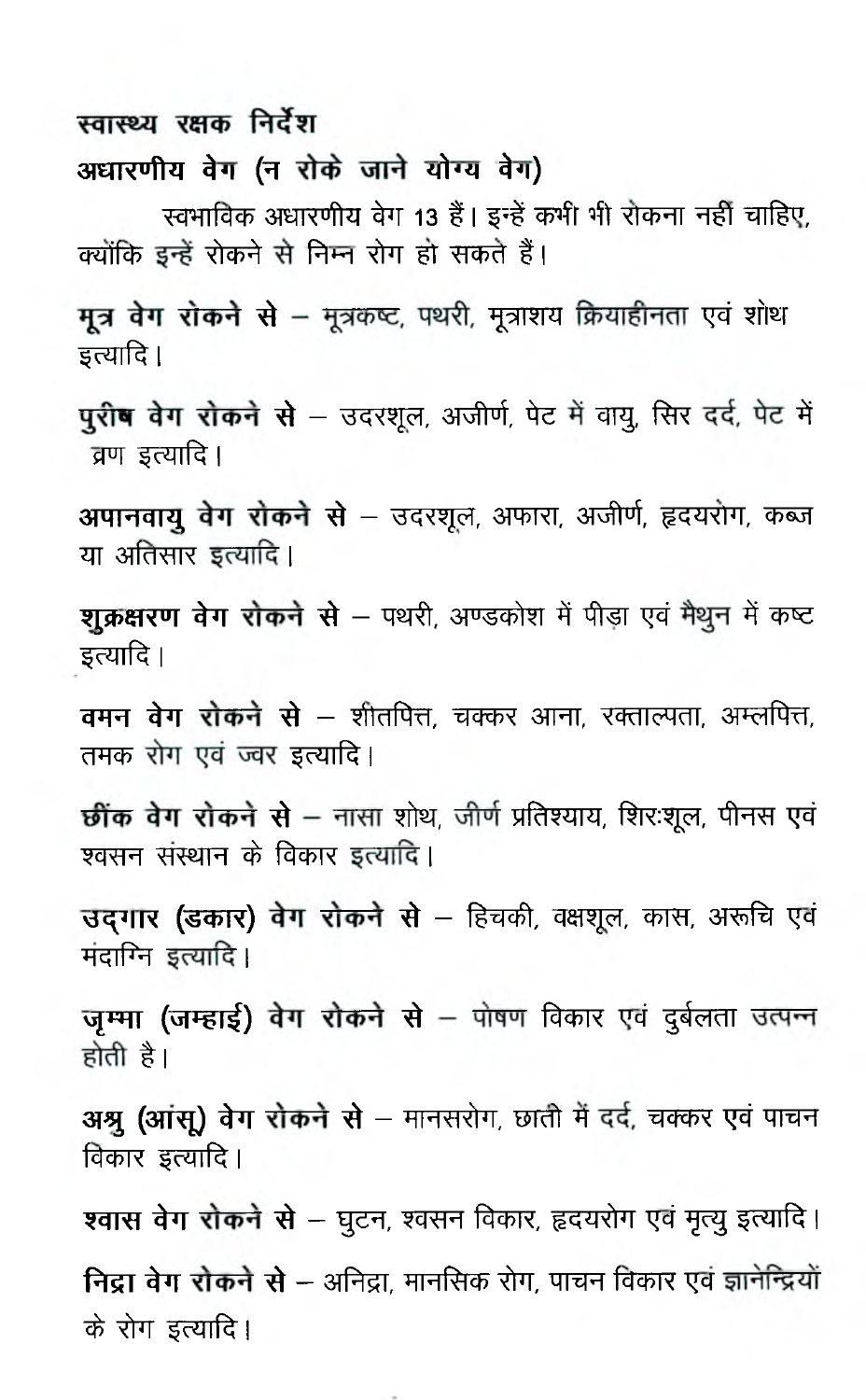### स्वास्थ्य रक्षक निर्देश

#### अधारणीय वेग (न रोके जाने योग्य वेग)

**^cFrrfcr^ 3TETTMR ^ T 13 1 1 f 5# ^ ¥ r \*ft TfcfRT** *^g\* **xTT%tT,** क्योंकि इन्हें रोकने से निम्न रोग हो सकते हैं।

**मूत्र वेग रोकने से** – मूत्रकष्ट, पथरी, मूत्राशय क्रियाहीनता एवं शोथ **\$c<MlR I**

पुरीष वेग रोकने से – उदरशूल, अजीर्ण, पेट में वायु, सिर दर्द, पेट में **pFT ^oMlR I**

**अपानवायु वेग रोकने से** – उदरशूल, अफारा, अजीर्ण, हृदयरोग, कब्ज या अतिसार इत्यादि।

राक्रक्षरण वेग रोकने से - पथरी, अण्डकोश में पीड़ा एवं मैथून में कष्ट **इ**त्यादि ।

**वमन वेग रोकने से** – शीतपित्त, चक्कर आना, रक्ताल्पता, अम्लपित्त, तमक रोग एवं ज्वर इत्यादि।

**छींक वेग रोकने से** – नासा शोथ, जीर्ण प्रतिश्याय, शिरःशूल, पीनस एवं श्वसन संस्थान के विकार इत्यादि।

**उदगार (डकार) वेग रोकने से** – हिचकी, वक्षशूल, कास, अरूचि एवं मंदाग्नि इत्यादि।

**जम्मा (जम्हाई) वेग रोकने से** – पोषण विकार एवं दुर्बलता उत्पन्न <u>होती है।</u>

**31श्रु (आंसू) वेग रोकने से** – मानसरोग, छाती में दर्द, चक्कर एवं पाचन **बिकार इत्यादि** |

**श्वास वेग रोकने से** – घुटन, श्वसन विकार, हृदयरोग एवं मृत्यु इत्यादि। **निद्रा वेग रोकने से** – अनिद्रा, मानसिक रोग, पाचन विकार एवं ज्ञानेन्द्रियों **^** *im* **^ r i||R |**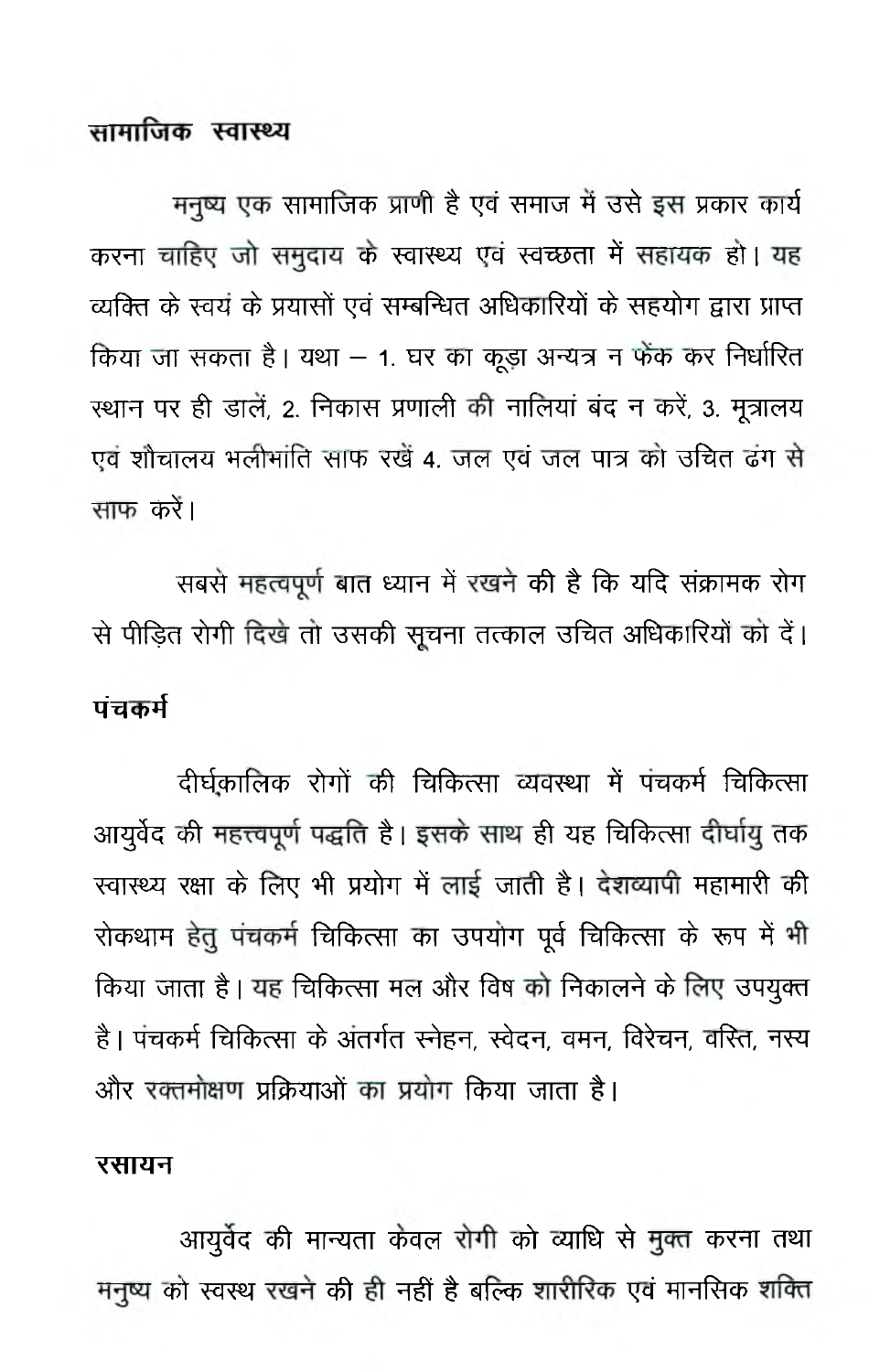#### सामाजिक स्वास्थ्य

मनृष्य एक सामाजिक प्राणी है एवं समाज में उसे इस प्रकार कार्य करना चाहिए जो समुदाय के स्वास्थ्य एवं स्वच्छता में सहायक हो। यह व्यक्ति के स्वयं के प्रयासों एवं सम्बन्धित अधिकारियों के सहयोग द्वारा प्राप्त किया जा सकता है। यथा – 1. घर का कूड़ा अन्यत्र न फेंक कर निर्धारित स्थान पर ही डालें, 2. निकास प्रणाली की नालियां बंद न करें, 3. मूत्रालय एवं शौचालय भलीभांति साफ रखें 4. जल एवं जल पात्र को उचित ढंग से साफ करें।

<span id="page-9-0"></span>सबसे महत्वपूर्ण बात ध्यान में रखने की है कि यदि संक्रामक रोग से पीड़ित रोगी दिखे तो उसकी सूचना तत्काल उचित अधिकारियों को दें। पंचकर्म

दीर्घकालिक रोगों की चिकित्सा व्यवस्था में पंचकर्म चिकित्सा आयुर्वेद की महत्त्वपूर्ण पद्धति है। इसके साथ ही यह चिकित्सा दीर्घायु तक स्वास्थ्य रक्षा के लिए भी प्रयोग में लाई जाती है। देशव्यापी महामारी की रोकथाम हेतू पंचकर्म चिकित्सा का उपयोग पूर्व चिकित्सा के रूप में भी किया जाता है। यह चिकित्सा मल और विष को निकालने के लिए उपयुक्त है। पंचकर्म चिकित्सा के अंतर्गत स्नेहन, स्वेदन, वमन, विरेचन, वस्ति, नस्य और रक्तमोक्षण प्रक्रियाओं का प्रयोग किया जाता है।

#### रसायन

आयुर्वेद की मान्यता केवल रोगी को व्याधि से मुक्त करना तथा मनुष्य को स्वस्थ रखने की ही नहीं है बल्कि शारीरिक एवं मानसिक शक्ति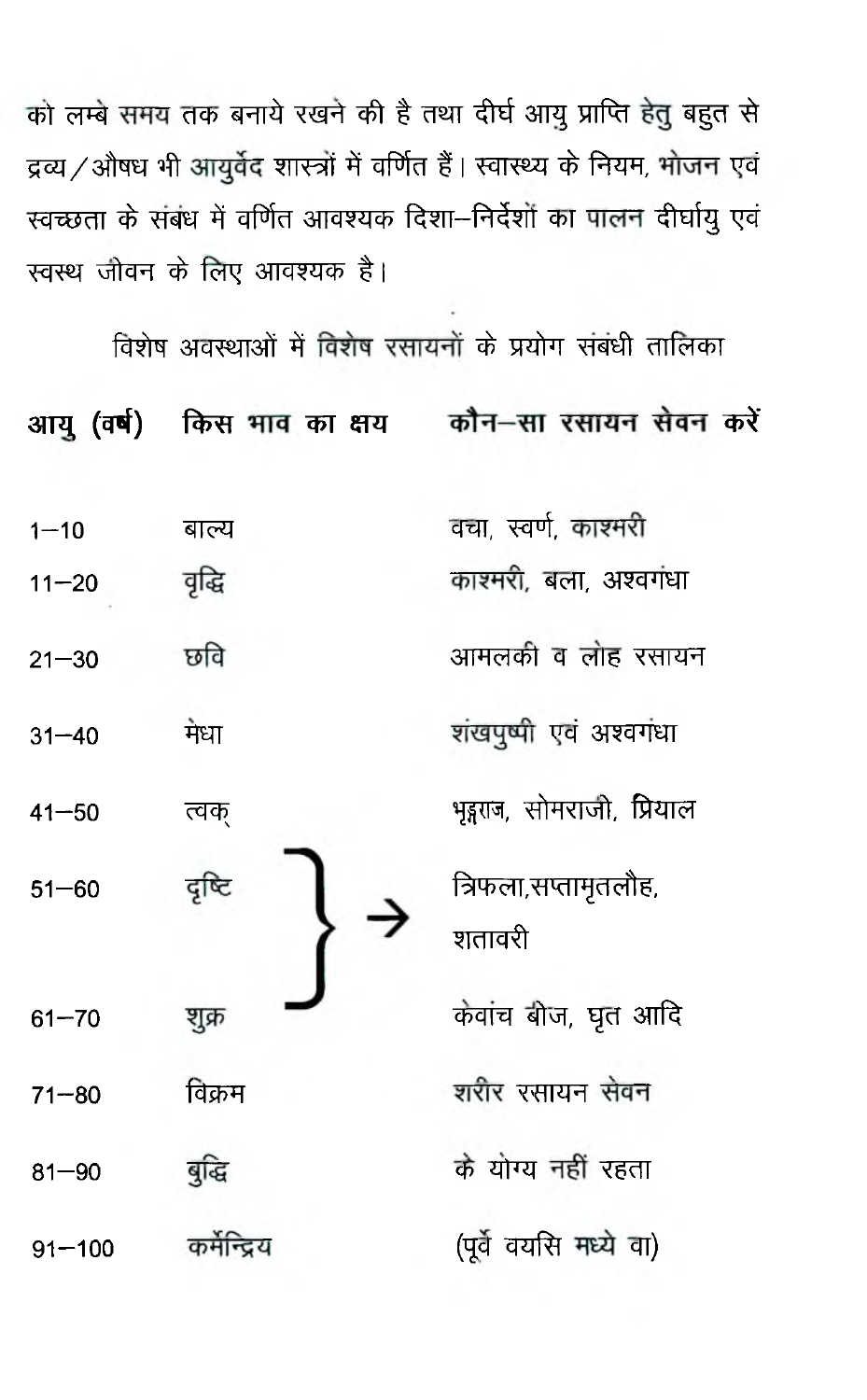को लम्बे समय तक बनाये रखने की है तथा दीर्घ आयु प्राप्ति हेतु बहुत से द्रव्य / औषध भी आयुर्वेद शास्त्रों में वर्णित हैं | स्वास्थ्य के नियम, भोजन एवं स्वच्छता के संबंध में वर्णित आवश्यक दिशा--निर्देशों का पालन दीर्घायु एवं स्वस्थ जीवन के लिए आवश्यक है।

विशेष अवस्थाओं में विशेष रसायनों के प्रयोग संबंधी तालिका किस भाव का क्षय कौन-सा रसायन सेवन करें आय (वर्ष) वचा स्वर्ण काश्मरी  $1 - 10$ बाल्य काश्मरी, बला, अश्वगंधा वृद्धि  $11 - 20$ छवि आमलकी व लोह रसायन  $21 - 30$ शंखपृष्पी एवं अश्वगंधा मेधा  $31 - 40$ भइराज, सोमराजी, प्रियाल  $41 - 50$ त्वक दृष्टि त्रिफला,सप्तामृतलौह,  $51 - 60$ शतावरी केवांच बीज, घुत आदि शूक्र  $61 - 70$ शरीर रसायन सेवन विक्रम  $71 - 80$ के योग्य नहीं रहता बुद्धि  $81 - 90$ (पूर्वे वयसि मध्ये वा) कर्मन्दिय  $91 - 100$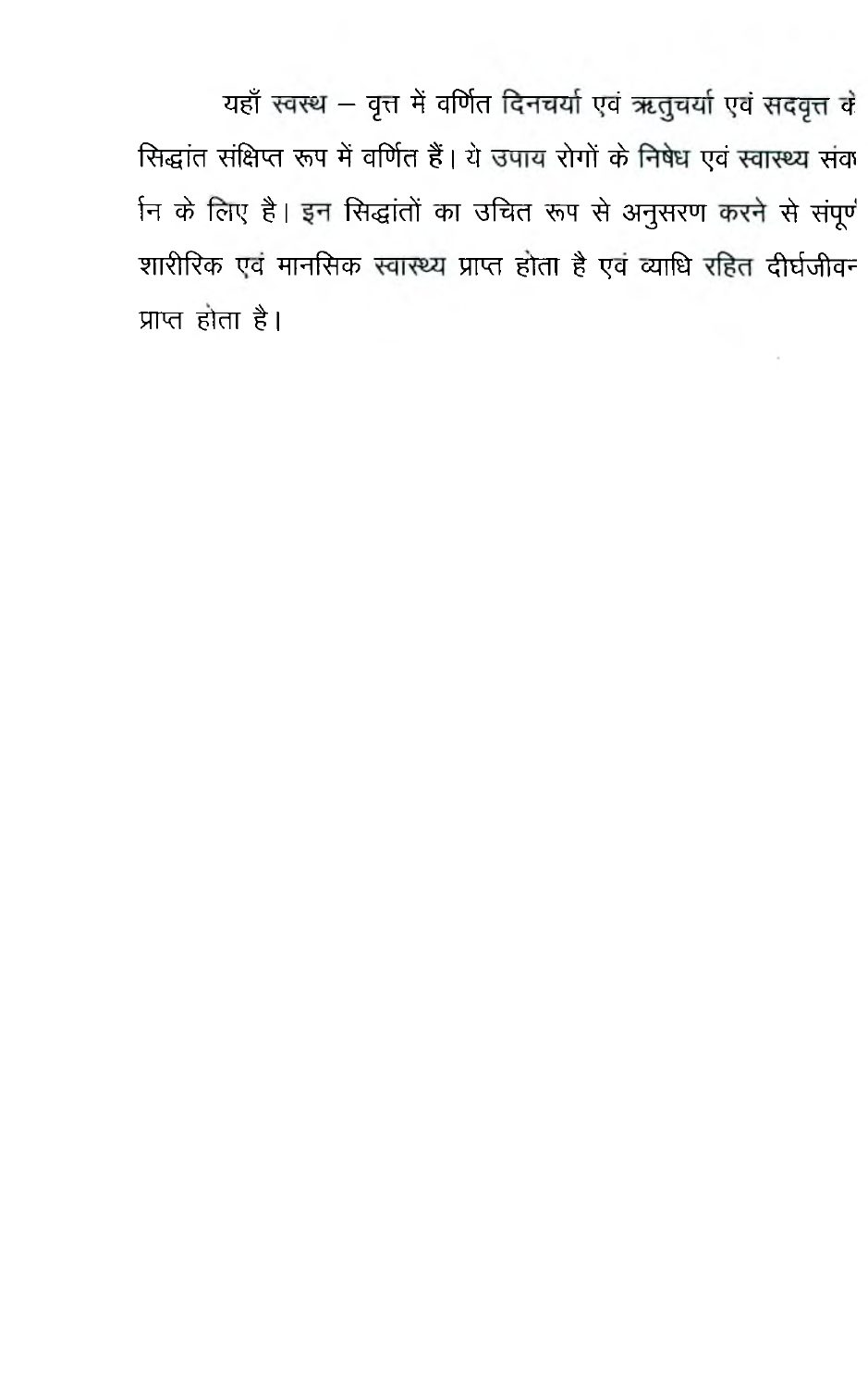यहाँ स्वस्थ - वृत्त में वर्णित दिनचर्या एवं ऋतुचर्या एवं सदवृत्त वे सिद्धांत संक्षिप्त रूप में वर्णित हैं। ये उपाय रोगों के निषेध एवं स्वास्थ्य संव नि के लिए है। इन सिद्धांतों का उचित रूप से अनुसरण करने से संपूर्ण शारीरिक एवं मानसिक स्वास्थ्य प्राप्त होता है एवं व्याधि रहित दीर्घजीवन प्राप्त होता है।